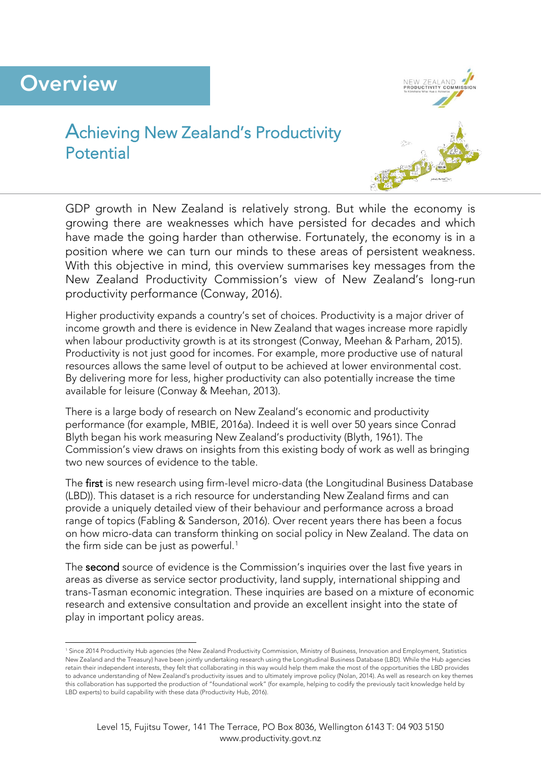# **Overview**



## Achieving New Zealand's Productivity Potential



GDP growth in New Zealand is relatively strong. But while the economy is growing there are weaknesses which have persisted for decades and which have made the going harder than otherwise. Fortunately, the economy is in a position where we can turn our minds to these areas of persistent weakness. With this objective in mind, this overview summarises key messages from the New Zealand Productivity Commission's view of New Zealand's long-run productivity performance (Conway, 2016).

Higher productivity expands a country's set of choices. Productivity is a major driver of income growth and there is evidence in New Zealand that wages increase more rapidly when labour productivity growth is at its strongest (Conway, Meehan & Parham, 2015). Productivity is not just good for incomes. For example, more productive use of natural resources allows the same level of output to be achieved at lower environmental cost. By delivering more for less, higher productivity can also potentially increase the time available for leisure (Conway & Meehan, 2013).

There is a large body of research on New Zealand's economic and productivity performance (for example, MBIE, 2016a). Indeed it is well over 50 years since Conrad Blyth began his work measuring New Zealand's productivity (Blyth, 1961). The Commission's view draws on insights from this existing body of work as well as bringing two new sources of evidence to the table.

The first is new research using firm-level micro-data (the Longitudinal Business Database (LBD)). This dataset is a rich resource for understanding New Zealand firms and can provide a uniquely detailed view of their behaviour and performance across a broad range of topics (Fabling & Sanderson, 2016). Over recent years there has been a focus on how micro-data can transform thinking on social policy in New Zealand. The data on the firm side can be just as powerful.<sup>[1](#page-0-0)</sup>

The second source of evidence is the Commission's inquiries over the last five years in areas as diverse as service sector productivity, land supply, international shipping and trans-Tasman economic integration. These inquiries are based on a mixture of economic research and extensive consultation and provide an excellent insight into the state of play in important policy areas.

<span id="page-0-0"></span> <sup>1</sup> Since 2014 Productivity Hub agencies (the New Zealand Productivity Commission, Ministry of Business, Innovation and Employment, Statistics New Zealand and the Treasury) have been jointly undertaking research using the Longitudinal Business Database (LBD). While the Hub agencies retain their independent interests, they felt that collaborating in this way would help them make the most of the opportunities the LBD provides to advance understanding of New Zealand's productivity issues and to ultimately improve policy (Nolan, 2014). As well as research on key themes this collaboration has supported the production of "foundational work" (for example, helping to codify the previously tacit knowledge held by LBD experts) to build capability with these data (Productivity Hub, 2016).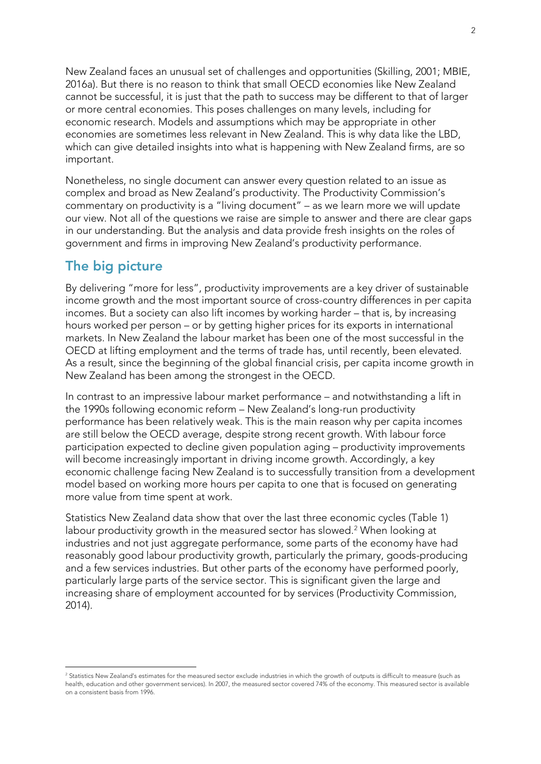New Zealand faces an unusual set of challenges and opportunities (Skilling, 2001; MBIE, 2016a). But there is no reason to think that small OECD economies like New Zealand cannot be successful, it is just that the path to success may be different to that of larger or more central economies. This poses challenges on many levels, including for economic research. Models and assumptions which may be appropriate in other economies are sometimes less relevant in New Zealand. This is why data like the LBD, which can give detailed insights into what is happening with New Zealand firms, are so important.

Nonetheless, no single document can answer every question related to an issue as complex and broad as New Zealand's productivity. The Productivity Commission's commentary on productivity is a "living document" – as we learn more we will update our view. Not all of the questions we raise are simple to answer and there are clear gaps in our understanding. But the analysis and data provide fresh insights on the roles of government and firms in improving New Zealand's productivity performance.

## **The big picture**

By delivering "more for less", productivity improvements are a key driver of sustainable income growth and the most important source of cross-country differences in per capita incomes. But a society can also lift incomes by working harder – that is, by increasing hours worked per person – or by getting higher prices for its exports in international markets. In New Zealand the labour market has been one of the most successful in the OECD at lifting employment and the terms of trade has, until recently, been elevated. As a result, since the beginning of the global financial crisis, per capita income growth in New Zealand has been among the strongest in the OECD.

In contrast to an impressive labour market performance – and notwithstanding a lift in the 1990s following economic reform – New Zealand's long-run productivity performance has been relatively weak. This is the main reason why per capita incomes are still below the OECD average, despite strong recent growth. With labour force participation expected to decline given population aging – productivity improvements will become increasingly important in driving income growth. Accordingly, a key economic challenge facing New Zealand is to successfully transition from a development model based on working more hours per capita to one that is focused on generating more value from time spent at work.

Statistics New Zealand data show that over the last three economic cycles [\(Table 1\)](#page-2-0) labour productivity growth in the measured sector has slowed.<sup>[2](#page-1-0)</sup> When looking at industries and not just aggregate performance, some parts of the economy have had reasonably good labour productivity growth, particularly the primary, goods-producing and a few services industries. But other parts of the economy have performed poorly, particularly large parts of the service sector. This is significant given the large and increasing share of employment accounted for by services (Productivity Commission, 2014).

<span id="page-1-0"></span><sup>&</sup>lt;sup>2</sup> Statistics New Zealand's estimates for the measured sector exclude industries in which the growth of outputs is difficult to measure (such as health, education and other government services). In 2007, the measured sector covered 74% of the economy. This measured sector is available on a consistent basis from 1996.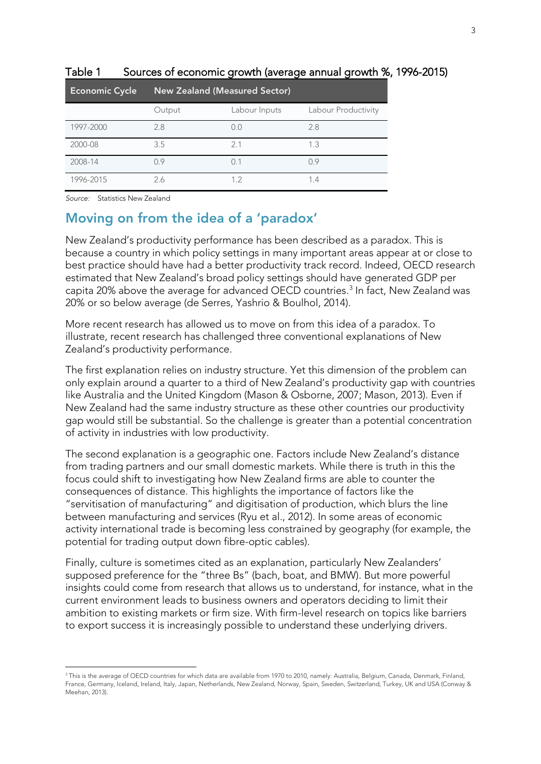| <b>Economic Cycle</b> | <b>New Zealand (Measured Sector)</b> |               |                     |
|-----------------------|--------------------------------------|---------------|---------------------|
|                       | Output                               | Labour Inputs | Labour Productivity |
| 1997-2000             | 2.8                                  | 0.0           | 2.8                 |
| 2000-08               | 3.5                                  | 2.1           | 1.3                 |
| 2008-14               | 0.9                                  | 0.1           | 0.9                 |
| 1996-2015             | 2.6                                  | 12            | 1.4                 |

#### <span id="page-2-0"></span>Table 1 Sources of economic growth (average annual growth %, 1996-2015)

*Source:* Statistics New Zealand

## **Moving on from the idea of a 'paradox'**

New Zealand's productivity performance has been described as a paradox. This is because a country in which policy settings in many important areas appear at or close to best practice should have had a better productivity track record. Indeed, OECD research estimated that New Zealand's broad policy settings should have generated GDP per capita 20% above the average for advanced OECD countries. [3](#page-2-1) In fact, New Zealand was 20% or so below average (de Serres, Yashrio & Boulhol, 2014).

More recent research has allowed us to move on from this idea of a paradox. To illustrate, recent research has challenged three conventional explanations of New Zealand's productivity performance.

The first explanation relies on industry structure. Yet this dimension of the problem can only explain around a quarter to a third of New Zealand's productivity gap with countries like Australia and the United Kingdom (Mason & Osborne, 2007; Mason, 2013). Even if New Zealand had the same industry structure as these other countries our productivity gap would still be substantial. So the challenge is greater than a potential concentration of activity in industries with low productivity.

The second explanation is a geographic one. Factors include New Zealand's distance from trading partners and our small domestic markets. While there is truth in this the focus could shift to investigating how New Zealand firms are able to counter the consequences of distance. This highlights the importance of factors like the "servitisation of manufacturing" and digitisation of production, which blurs the line between manufacturing and services (Ryu et al., 2012). In some areas of economic activity international trade is becoming less constrained by geography (for example, the potential for trading output down fibre-optic cables).

Finally, culture is sometimes cited as an explanation, particularly New Zealanders' supposed preference for the "three Bs" (bach, boat, and BMW). But more powerful insights could come from research that allows us to understand, for instance, what in the current environment leads to business owners and operators deciding to limit their ambition to existing markets or firm size. With firm-level research on topics like barriers to export success it is increasingly possible to understand these underlying drivers.

<span id="page-2-1"></span><sup>&</sup>lt;sup>3</sup> This is the average of OECD countries for which data are available from 1970 to 2010, namely: Australia, Belgium, Canada, Denmark, Finland, France, Germany, Iceland, Ireland, Italy, Japan, Netherlands, New Zealand, Norway, Spain, Sweden, Switzerland, Turkey, UK and USA (Conway & Meehan, 2013).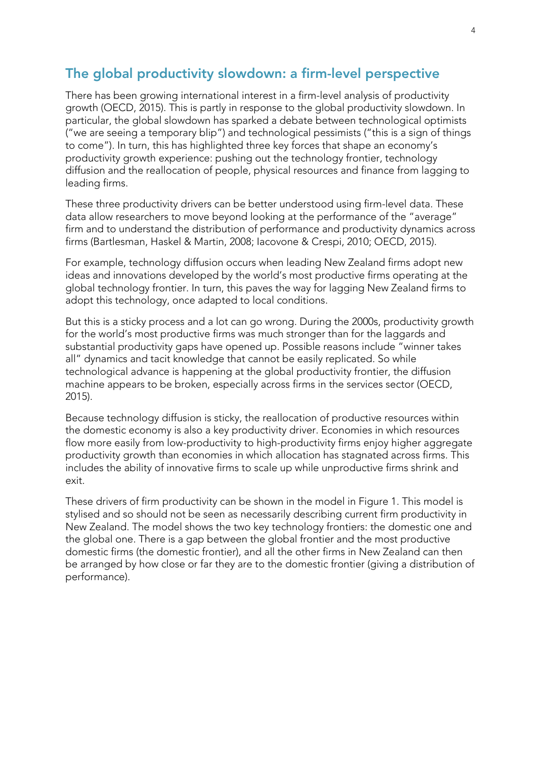## **The global productivity slowdown: a firm-level perspective**

There has been growing international interest in a firm-level analysis of productivity growth (OECD, 2015). This is partly in response to the global productivity slowdown. In particular, the global slowdown has sparked a debate between technological optimists ("we are seeing a temporary blip") and technological pessimists ("this is a sign of things to come"). In turn, this has highlighted three key forces that shape an economy's productivity growth experience: pushing out the technology frontier, technology diffusion and the reallocation of people, physical resources and finance from lagging to leading firms.

These three productivity drivers can be better understood using firm-level data. These data allow researchers to move beyond looking at the performance of the "average" firm and to understand the distribution of performance and productivity dynamics across firms (Bartlesman, Haskel & Martin, 2008; Iacovone & Crespi, 2010; OECD, 2015).

For example, technology diffusion occurs when leading New Zealand firms adopt new ideas and innovations developed by the world's most productive firms operating at the global technology frontier. In turn, this paves the way for lagging New Zealand firms to adopt this technology, once adapted to local conditions.

But this is a sticky process and a lot can go wrong. During the 2000s, productivity growth for the world's most productive firms was much stronger than for the laggards and substantial productivity gaps have opened up. Possible reasons include "winner takes all" dynamics and tacit knowledge that cannot be easily replicated. So while technological advance is happening at the global productivity frontier, the diffusion machine appears to be broken, especially across firms in the services sector (OECD, 2015).

Because technology diffusion is sticky, the reallocation of productive resources within the domestic economy is also a key productivity driver. Economies in which resources flow more easily from low-productivity to high-productivity firms enjoy higher aggregate productivity growth than economies in which allocation has stagnated across firms. This includes the ability of innovative firms to scale up while unproductive firms shrink and exit.

These drivers of firm productivity can be shown in the model in Figure 1. This model is stylised and so should not be seen as necessarily describing current firm productivity in New Zealand. The model shows the two key technology frontiers: the domestic one and the global one. There is a gap between the global frontier and the most productive domestic firms (the domestic frontier), and all the other firms in New Zealand can then be arranged by how close or far they are to the domestic frontier (giving a distribution of performance).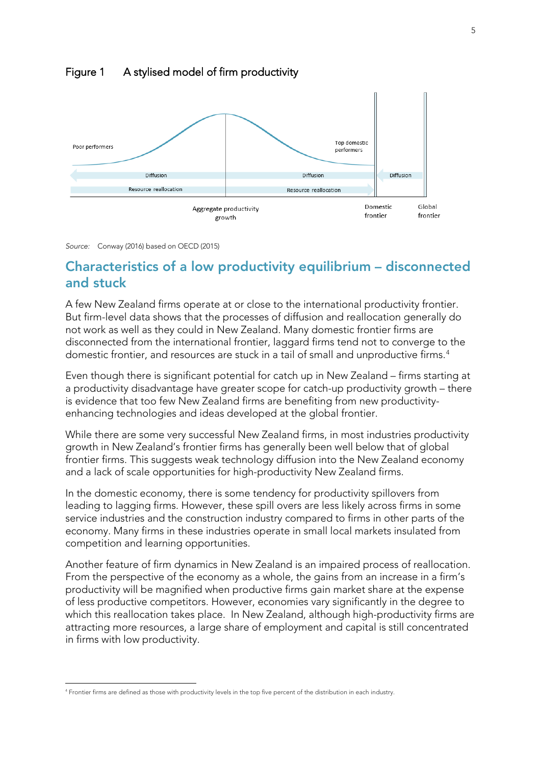

#### Figure 1 A stylised model of firm productivity



## **Characteristics of a low productivity equilibrium – disconnected and stuck**

A few New Zealand firms operate at or close to the international productivity frontier. But firm-level data shows that the processes of diffusion and reallocation generally do not work as well as they could in New Zealand. Many domestic frontier firms are disconnected from the international frontier, laggard firms tend not to converge to the domestic frontier, and resources are stuck in a tail of small and unproductive firms.[4](#page-4-0)

Even though there is significant potential for catch up in New Zealand – firms starting at a productivity disadvantage have greater scope for catch-up productivity growth – there is evidence that too few New Zealand firms are benefiting from new productivityenhancing technologies and ideas developed at the global frontier.

While there are some very successful New Zealand firms, in most industries productivity growth in New Zealand's frontier firms has generally been well below that of global frontier firms. This suggests weak technology diffusion into the New Zealand economy and a lack of scale opportunities for high-productivity New Zealand firms.

In the domestic economy, there is some tendency for productivity spillovers from leading to lagging firms. However, these spill overs are less likely across firms in some service industries and the construction industry compared to firms in other parts of the economy. Many firms in these industries operate in small local markets insulated from competition and learning opportunities.

Another feature of firm dynamics in New Zealand is an impaired process of reallocation. From the perspective of the economy as a whole, the gains from an increase in a firm's productivity will be magnified when productive firms gain market share at the expense of less productive competitors. However, economies vary significantly in the degree to which this reallocation takes place. In New Zealand, although high-productivity firms are attracting more resources, a large share of employment and capital is still concentrated in firms with low productivity.

<span id="page-4-0"></span> <sup>4</sup> Frontier firms are defined as those with productivity levels in the top five percent of the distribution in each industry.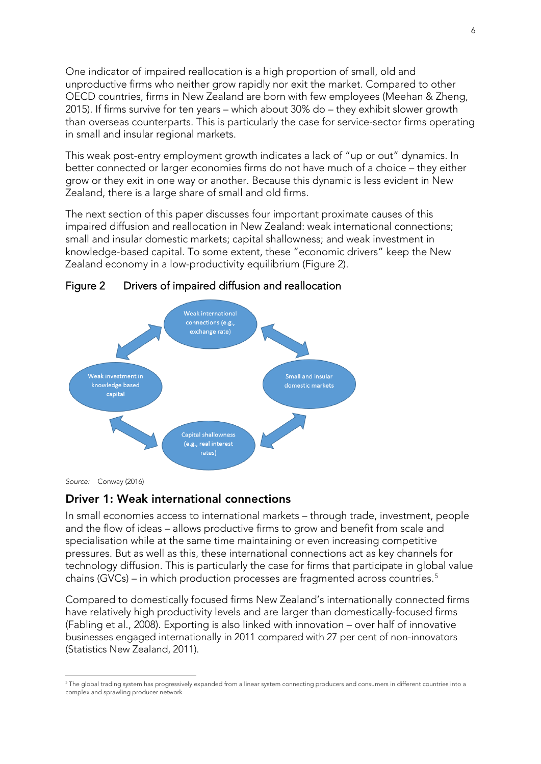One indicator of impaired reallocation is a high proportion of small, old and unproductive firms who neither grow rapidly nor exit the market. Compared to other OECD countries, firms in New Zealand are born with few employees (Meehan & Zheng, 2015). If firms survive for ten years – which about 30% do – they exhibit slower growth than overseas counterparts. This is particularly the case for service-sector firms operating in small and insular regional markets.

This weak post-entry employment growth indicates a lack of "up or out" dynamics. In better connected or larger economies firms do not have much of a choice – they either grow or they exit in one way or another. Because this dynamic is less evident in New Zealand, there is a large share of small and old firms.

The next section of this paper discusses four important proximate causes of this impaired diffusion and reallocation in New Zealand: weak international connections; small and insular domestic markets; capital shallowness; and weak investment in knowledge-based capital. To some extent, these "economic drivers" keep the New Zealand economy in a low-productivity equilibrium (Figure 2).





*Source:* Conway (2016)

#### **Driver 1: Weak international connections**

In small economies access to international markets – through trade, investment, people and the flow of ideas – allows productive firms to grow and benefit from scale and specialisation while at the same time maintaining or even increasing competitive pressures. But as well as this, these international connections act as key channels for technology diffusion. This is particularly the case for firms that participate in global value chains (GVCs) – in which production processes are fragmented across countries.<sup>[5](#page-5-0)</sup>

Compared to domestically focused firms New Zealand's internationally connected firms have relatively high productivity levels and are larger than domestically-focused firms (Fabling et al., 2008). Exporting is also linked with innovation – over half of innovative businesses engaged internationally in 2011 compared with 27 per cent of non-innovators (Statistics New Zealand, 2011).

<span id="page-5-0"></span> <sup>5</sup> The global trading system has progressively expanded from a linear system connecting producers and consumers in different countries into a complex and sprawling producer network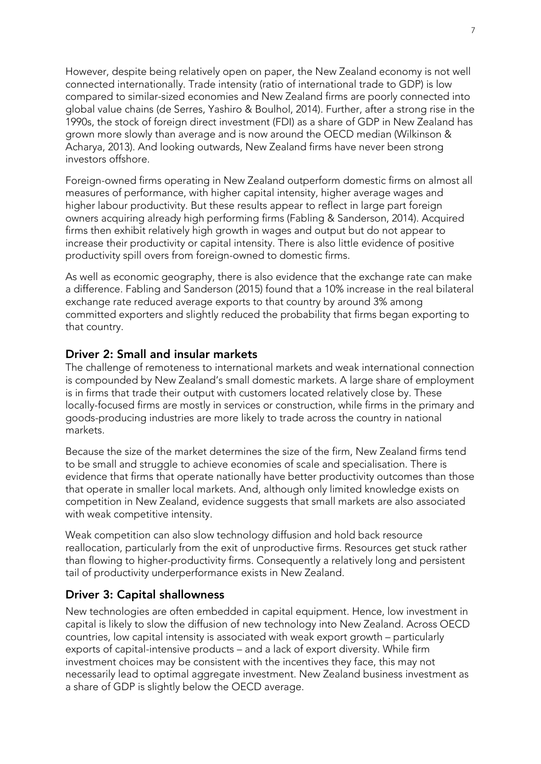However, despite being relatively open on paper, the New Zealand economy is not well connected internationally. Trade intensity (ratio of international trade to GDP) is low compared to similar-sized economies and New Zealand firms are poorly connected into global value chains (de Serres, Yashiro & Boulhol, 2014). Further, after a strong rise in the 1990s, the stock of foreign direct investment (FDI) as a share of GDP in New Zealand has grown more slowly than average and is now around the OECD median (Wilkinson & Acharya, 2013). And looking outwards, New Zealand firms have never been strong investors offshore.

Foreign-owned firms operating in New Zealand outperform domestic firms on almost all measures of performance, with higher capital intensity, higher average wages and higher labour productivity. But these results appear to reflect in large part foreign owners acquiring already high performing firms (Fabling & Sanderson, 2014). Acquired firms then exhibit relatively high growth in wages and output but do not appear to increase their productivity or capital intensity. There is also little evidence of positive productivity spill overs from foreign-owned to domestic firms.

As well as economic geography, there is also evidence that the exchange rate can make a difference. Fabling and Sanderson (2015) found that a 10% increase in the real bilateral exchange rate reduced average exports to that country by around 3% among committed exporters and slightly reduced the probability that firms began exporting to that country.

#### **Driver 2: Small and insular markets**

The challenge of remoteness to international markets and weak international connection is compounded by New Zealand's small domestic markets. A large share of employment is in firms that trade their output with customers located relatively close by. These locally-focused firms are mostly in services or construction, while firms in the primary and goods-producing industries are more likely to trade across the country in national markets.

Because the size of the market determines the size of the firm, New Zealand firms tend to be small and struggle to achieve economies of scale and specialisation. There is evidence that firms that operate nationally have better productivity outcomes than those that operate in smaller local markets. And, although only limited knowledge exists on competition in New Zealand, evidence suggests that small markets are also associated with weak competitive intensity.

Weak competition can also slow technology diffusion and hold back resource reallocation, particularly from the exit of unproductive firms. Resources get stuck rather than flowing to higher-productivity firms. Consequently a relatively long and persistent tail of productivity underperformance exists in New Zealand.

#### **Driver 3: Capital shallowness**

New technologies are often embedded in capital equipment. Hence, low investment in capital is likely to slow the diffusion of new technology into New Zealand. Across OECD countries, low capital intensity is associated with weak export growth – particularly exports of capital-intensive products – and a lack of export diversity. While firm investment choices may be consistent with the incentives they face, this may not necessarily lead to optimal aggregate investment. New Zealand business investment as a share of GDP is slightly below the OECD average.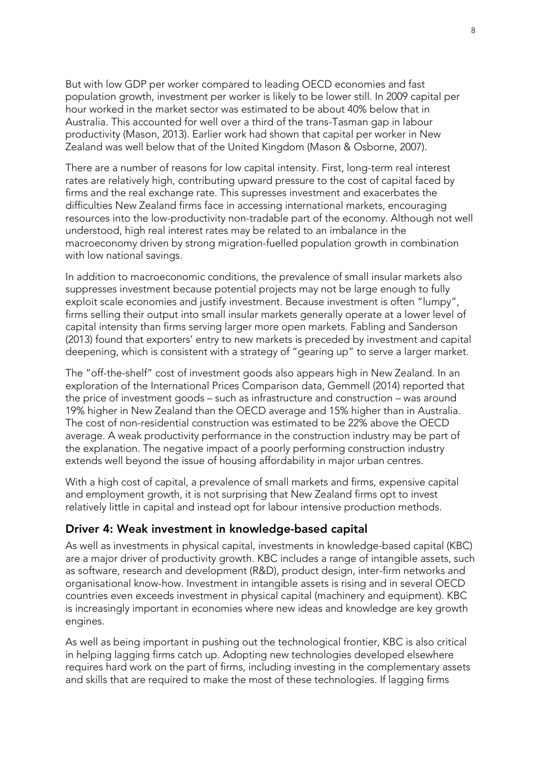But with low GDP per worker compared to leading OECD economies and fast population growth, investment per worker is likely to be lower still. In 2009 capital per hour worked in the market sector was estimated to be about 40% below that in Australia. This accounted for well over a third of the trans-Tasman gap in labour productivity (Mason, 2013). Earlier work had shown that capital per worker in New Zealand was well below that of the United Kingdom (Mason & Osborne, 2007).

There are a number of reasons for low capital intensity. First, long-term real interest rates are relatively high, contributing upward pressure to the cost of capital faced by firms and the real exchange rate. This supresses investment and exacerbates the difficulties New Zealand firms face in accessing international markets, encouraging resources into the low-productivity non-tradable part of the economy. Although not well understood, high real interest rates may be related to an imbalance in the macroeconomy driven by strong migration-fuelled population growth in combination with low national savings.

In addition to macroeconomic conditions, the prevalence of small insular markets also suppresses investment because potential projects may not be large enough to fully exploit scale economies and justify investment. Because investment is often "lumpy", firms selling their output into small insular markets generally operate at a lower level of capital intensity than firms serving larger more open markets. Fabling and Sanderson (2013) found that exporters' entry to new markets is preceded by investment and capital deepening, which is consistent with a strategy of "gearing up" to serve a larger market.

The "off-the-shelf" cost of investment goods also appears high in New Zealand. In an exploration of the International Prices Comparison data, Gemmell (2014) reported that the price of investment goods – such as infrastructure and construction – was around 19% higher in New Zealand than the OECD average and 15% higher than in Australia. The cost of non-residential construction was estimated to be 22% above the OECD average. A weak productivity performance in the construction industry may be part of the explanation. The negative impact of a poorly performing construction industry extends well beyond the issue of housing affordability in major urban centres.

With a high cost of capital, a prevalence of small markets and firms, expensive capital and employment growth, it is not surprising that New Zealand firms opt to invest relatively little in capital and instead opt for labour intensive production methods.

#### **Driver 4: Weak investment in knowledge-based capital**

As well as investments in physical capital, investments in knowledge-based capital (KBC) are a major driver of productivity growth. KBC includes a range of intangible assets, such as software, research and development (R&D), product design, inter-firm networks and organisational know-how. Investment in intangible assets is rising and in several OECD countries even exceeds investment in physical capital (machinery and equipment). KBC is increasingly important in economies where new ideas and knowledge are key growth engines.

As well as being important in pushing out the technological frontier, KBC is also critical in helping lagging firms catch up. Adopting new technologies developed elsewhere requires hard work on the part of firms, including investing in the complementary assets and skills that are required to make the most of these technologies. If lagging firms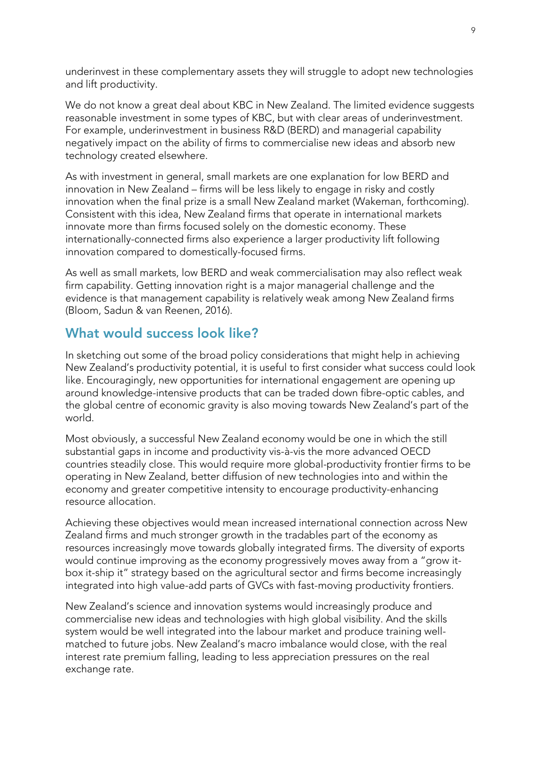underinvest in these complementary assets they will struggle to adopt new technologies and lift productivity.

We do not know a great deal about KBC in New Zealand. The limited evidence suggests reasonable investment in some types of KBC, but with clear areas of underinvestment. For example, underinvestment in business R&D (BERD) and managerial capability negatively impact on the ability of firms to commercialise new ideas and absorb new technology created elsewhere.

As with investment in general, small markets are one explanation for low BERD and innovation in New Zealand – firms will be less likely to engage in risky and costly innovation when the final prize is a small New Zealand market (Wakeman, forthcoming). Consistent with this idea, New Zealand firms that operate in international markets innovate more than firms focused solely on the domestic economy. These internationally-connected firms also experience a larger productivity lift following innovation compared to domestically-focused firms.

As well as small markets, low BERD and weak commercialisation may also reflect weak firm capability. Getting innovation right is a major managerial challenge and the evidence is that management capability is relatively weak among New Zealand firms (Bloom, Sadun & van Reenen, 2016).

## **What would success look like?**

In sketching out some of the broad policy considerations that might help in achieving New Zealand's productivity potential, it is useful to first consider what success could look like. Encouragingly, new opportunities for international engagement are opening up around knowledge-intensive products that can be traded down fibre-optic cables, and the global centre of economic gravity is also moving towards New Zealand's part of the world.

Most obviously, a successful New Zealand economy would be one in which the still substantial gaps in income and productivity vis-à-vis the more advanced OECD countries steadily close. This would require more global-productivity frontier firms to be operating in New Zealand, better diffusion of new technologies into and within the economy and greater competitive intensity to encourage productivity-enhancing resource allocation.

Achieving these objectives would mean increased international connection across New Zealand firms and much stronger growth in the tradables part of the economy as resources increasingly move towards globally integrated firms. The diversity of exports would continue improving as the economy progressively moves away from a "grow itbox it-ship it" strategy based on the agricultural sector and firms become increasingly integrated into high value-add parts of GVCs with fast-moving productivity frontiers.

New Zealand's science and innovation systems would increasingly produce and commercialise new ideas and technologies with high global visibility. And the skills system would be well integrated into the labour market and produce training wellmatched to future jobs. New Zealand's macro imbalance would close, with the real interest rate premium falling, leading to less appreciation pressures on the real exchange rate.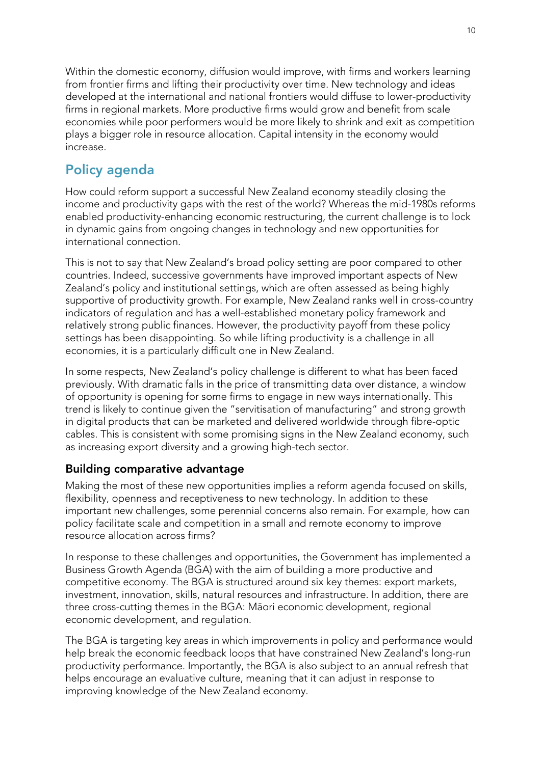Within the domestic economy, diffusion would improve, with firms and workers learning from frontier firms and lifting their productivity over time. New technology and ideas developed at the international and national frontiers would diffuse to lower-productivity firms in regional markets. More productive firms would grow and benefit from scale economies while poor performers would be more likely to shrink and exit as competition plays a bigger role in resource allocation. Capital intensity in the economy would increase.

## **Policy agenda**

How could reform support a successful New Zealand economy steadily closing the income and productivity gaps with the rest of the world? Whereas the mid-1980s reforms enabled productivity-enhancing economic restructuring, the current challenge is to lock in dynamic gains from ongoing changes in technology and new opportunities for international connection.

This is not to say that New Zealand's broad policy setting are poor compared to other countries. Indeed, successive governments have improved important aspects of New Zealand's policy and institutional settings, which are often assessed as being highly supportive of productivity growth. For example, New Zealand ranks well in cross-country indicators of regulation and has a well-established monetary policy framework and relatively strong public finances. However, the productivity payoff from these policy settings has been disappointing. So while lifting productivity is a challenge in all economies, it is a particularly difficult one in New Zealand.

In some respects, New Zealand's policy challenge is different to what has been faced previously. With dramatic falls in the price of transmitting data over distance, a window of opportunity is opening for some firms to engage in new ways internationally. This trend is likely to continue given the "servitisation of manufacturing" and strong growth in digital products that can be marketed and delivered worldwide through fibre-optic cables. This is consistent with some promising signs in the New Zealand economy, such as increasing export diversity and a growing high-tech sector.

### **Building comparative advantage**

Making the most of these new opportunities implies a reform agenda focused on skills, flexibility, openness and receptiveness to new technology. In addition to these important new challenges, some perennial concerns also remain. For example, how can policy facilitate scale and competition in a small and remote economy to improve resource allocation across firms?

In response to these challenges and opportunities, the Government has implemented a Business Growth Agenda (BGA) with the aim of building a more productive and competitive economy. The BGA is structured around six key themes: export markets, investment, innovation, skills, natural resources and infrastructure. In addition, there are three cross-cutting themes in the BGA: Māori economic development, regional economic development, and regulation.

The BGA is targeting key areas in which improvements in policy and performance would help break the economic feedback loops that have constrained New Zealand's long-run productivity performance. Importantly, the BGA is also subject to an annual refresh that helps encourage an evaluative culture, meaning that it can adjust in response to improving knowledge of the New Zealand economy.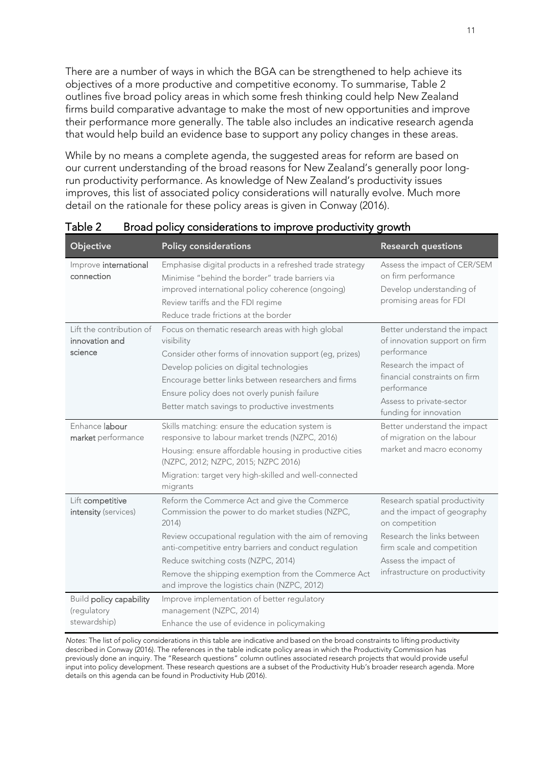There are a number of ways in which the BGA can be strengthened to help achieve its objectives of a more productive and competitive economy. To summarise, Table 2 outlines five broad policy areas in which some fresh thinking could help New Zealand firms build comparative advantage to make the most of new opportunities and improve their performance more generally. The table also includes an indicative research agenda that would help build an evidence base to support any policy changes in these areas.

While by no means a complete agenda, the suggested areas for reform are based on our current understanding of the broad reasons for New Zealand's generally poor longrun productivity performance. As knowledge of New Zealand's productivity issues improves, this list of associated policy considerations will naturally evolve. Much more detail on the rationale for these policy areas is given in Conway (2016).

| Objective                                                           | <b>Policy considerations</b>                                                                                                                                                                                                                                                                                                                                                                                                | <b>Research questions</b>                                                                                                                                                                                    |
|---------------------------------------------------------------------|-----------------------------------------------------------------------------------------------------------------------------------------------------------------------------------------------------------------------------------------------------------------------------------------------------------------------------------------------------------------------------------------------------------------------------|--------------------------------------------------------------------------------------------------------------------------------------------------------------------------------------------------------------|
| Improve international<br>connection                                 | Emphasise digital products in a refreshed trade strategy<br>Minimise "behind the border" trade barriers via<br>improved international policy coherence (ongoing)<br>Review tariffs and the FDI regime<br>Reduce trade frictions at the border                                                                                                                                                                               | Assess the impact of CER/SEM<br>on firm performance<br>Develop understanding of<br>promising areas for FDI                                                                                                   |
| Lift the contribution of<br>innovation and<br>science               | Focus on thematic research areas with high global<br>visibility<br>Consider other forms of innovation support (eg, prizes)<br>Develop policies on digital technologies<br>Encourage better links between researchers and firms<br>Ensure policy does not overly punish failure<br>Better match savings to productive investments                                                                                            | Better understand the impact<br>of innovation support on firm<br>performance<br>Research the impact of<br>financial constraints on firm<br>performance<br>Assess to private-sector<br>funding for innovation |
| Enhance labour<br>market performance                                | Skills matching: ensure the education system is<br>responsive to labour market trends (NZPC, 2016)<br>Housing: ensure affordable housing in productive cities<br>(NZPC, 2012; NZPC, 2015; NZPC 2016)<br>Migration: target very high-skilled and well-connected<br>migrants                                                                                                                                                  | Better understand the impact<br>of migration on the labour<br>market and macro economy                                                                                                                       |
| Lift competitive<br>intensity (services)<br>Build policy capability | Reform the Commerce Act and give the Commerce<br>Commission the power to do market studies (NZPC,<br>2014<br>Review occupational regulation with the aim of removing<br>anti-competitive entry barriers and conduct regulation<br>Reduce switching costs (NZPC, 2014)<br>Remove the shipping exemption from the Commerce Act<br>and improve the logistics chain (NZPC, 2012)<br>Improve implementation of better regulatory | Research spatial productivity<br>and the impact of geography<br>on competition<br>Research the links between<br>firm scale and competition<br>Assess the impact of<br>infrastructure on productivity         |
| (regulatory<br>stewardship)                                         | management (NZPC, 2014)<br>Enhance the use of evidence in policymaking                                                                                                                                                                                                                                                                                                                                                      |                                                                                                                                                                                                              |

Table 2 Broad policy considerations to improve productivity growth

*Notes:* The list of policy considerations in this table are indicative and based on the broad constraints to lifting productivity described in Conway (2016). The references in the table indicate policy areas in which the Productivity Commission has previously done an inquiry. The "Research questions" column outlines associated research projects that would provide useful input into policy development. These research questions are a subset of the Productivity Hub's broader research agenda. More details on this agenda can be found in Productivity Hub (2016).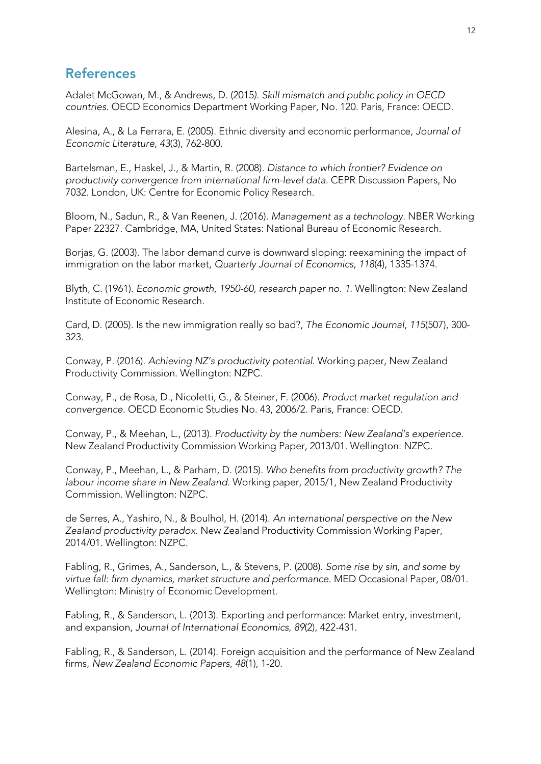## **References**

Adalet McGowan, M., & Andrews, D. (2015*). Skill mismatch and public policy in OECD countries.* OECD Economics Department Working Paper, No. 120. Paris, France: OECD.

Alesina, A., & La Ferrara, E. (2005). Ethnic diversity and economic performance, *Journal of Economic Literature*, *43*(3), 762-800.

Bartelsman, E., Haskel, J., & Martin, R. (2008). *Distance to which frontier? Evidence on productivity convergence from international firm-level data*. CEPR Discussion Papers, No 7032. London, UK: Centre for Economic Policy Research.

Bloom, N., Sadun, R., & Van Reenen, J. (2016). *Management as a technology*. NBER Working Paper 22327. Cambridge, MA, United States: National Bureau of Economic Research.

Borjas, G. (2003). The labor demand curve is downward sloping: reexamining the impact of immigration on the labor market, *Quarterly Journal of Economics*, *118*(4), 1335-1374.

Blyth, C. (1961). *Economic growth, 1950-60, research paper no. 1*. Wellington: New Zealand Institute of Economic Research.

Card, D. (2005). Is the new immigration really so bad?, *The Economic Journal*, *115*(507), 300- 323.

Conway, P. (2016). *Achieving NZ's productivity potential*. Working paper, New Zealand Productivity Commission. Wellington: NZPC.

Conway, P., de Rosa, D., Nicoletti, G., & Steiner, F. (2006). *Product market regulation and convergence*. OECD Economic Studies No. 43, 2006/2. Paris, France: OECD.

Conway, P., & Meehan, L., (2013). *Productivity by the numbers: New Zealand's experience*. New Zealand Productivity Commission Working Paper, 2013/01. Wellington: NZPC.

Conway, P., Meehan, L., & Parham, D. (2015). *Who benefits from productivity growth? The labour income share in New Zealand.* Working paper, 2015/1, New Zealand Productivity Commission. Wellington: NZPC.

de Serres, A., Yashiro, N., & Boulhol, H. (2014). *An international perspective on the New Zealand productivity paradox.* New Zealand Productivity Commission Working Paper, 2014/01. Wellington: NZPC.

Fabling, R., Grimes, A., Sanderson, L., & Stevens, P. (2008). *Some rise by sin, and some by virtue fall: firm dynamics, market structure and performance*. MED Occasional Paper, 08/01. Wellington: Ministry of Economic Development.

Fabling, R., & Sanderson, L. (2013). Exporting and performance: Market entry, investment, and expansion, *Journal of International Economics*, *89*(2), 422-431.

Fabling, R., & Sanderson, L. (2014). Foreign acquisition and the performance of New Zealand firms, *New Zealand Economic Papers*, *48*(1), 1-20.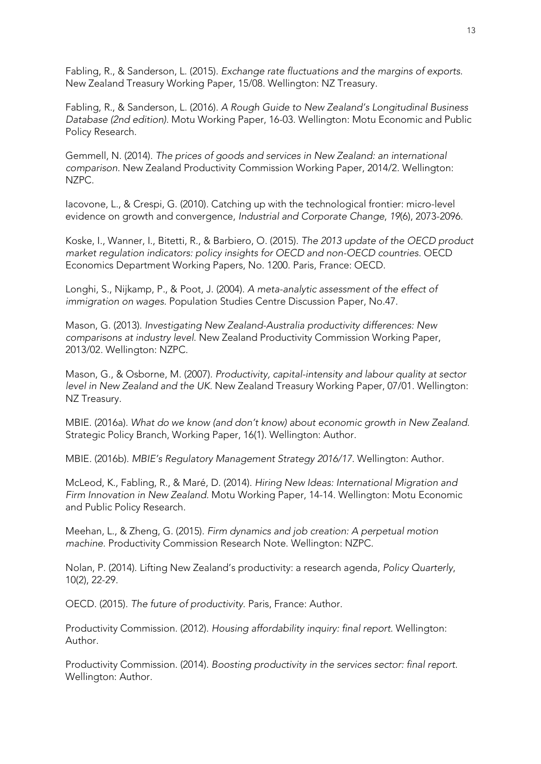Fabling, R., & Sanderson, L. (2015). *Exchange rate fluctuations and the margins of exports*. New Zealand Treasury Working Paper, 15/08. Wellington: NZ Treasury.

Fabling, R., & Sanderson, L. (2016). *A Rough Guide to New Zealand's Longitudinal Business Database (2nd edition)*. Motu Working Paper, 16-03. Wellington: Motu Economic and Public Policy Research.

Gemmell, N. (2014). *The prices of goods and services in New Zealand: an international comparison*. New Zealand Productivity Commission Working Paper, 2014/2. Wellington: NZPC.

Iacovone, L., & Crespi, G. (2010). Catching up with the technological frontier: micro-level evidence on growth and convergence, *Industrial and Corporate Change*, *19*(6), 2073-2096.

Koske, I., Wanner, I., Bitetti, R., & Barbiero, O. (2015). *The 2013 update of the OECD product market regulation indicators: policy insights for OECD and non-OECD countries*. OECD Economics Department Working Papers, No. 1200. Paris, France: OECD.

Longhi, S., Nijkamp, P., & Poot, J. (2004). *A meta-analytic assessment of the effect of immigration on wages*. Population Studies Centre Discussion Paper, No.47.

Mason, G. (2013). *[Investigating New Zealand-Australia productivity differences: New](http://www.productivity.govt.nz/working-paper/nz-australia-productivity-differences)  [comparisons at industry level](http://www.productivity.govt.nz/working-paper/nz-australia-productivity-differences)*. New Zealand Productivity Commission Working Paper, 2013/02. Wellington: NZPC.

Mason, G., & Osborne, M. (2007). *[Productivity, capital-intensity and labour quality at sector](http://www.treasury.govt.nz/publications/research-policy/wp/2007/07-01/twp07-01.pdf)  [level in New Zealand and the UK.](http://www.treasury.govt.nz/publications/research-policy/wp/2007/07-01/twp07-01.pdf)* New Zealand Treasury Working Paper, 07/01. Wellington: NZ Treasury.

MBIE. (2016a). *What do we know (and don't know) about economic growth in New Zealand*. Strategic Policy Branch, Working Paper, 16(1). Wellington: Author.

MBIE. (2016b). *MBIE's Regulatory Management Strategy 2016/17*. Wellington: Author.

McLeod, K., Fabling, R., & Maré, D. (2014). *Hiring New Ideas: International Migration and Firm Innovation in New Zealand.* Motu Working Paper, 14-14. Wellington: Motu Economic and Public Policy Research.

Meehan, L., & Zheng, G. (2015). *Firm dynamics and job creation: A perpetual motion machine*. Productivity Commission Research Note. Wellington: NZPC.

Nolan, P. (2014). Lifting New Zealand's productivity: a research agenda, *Policy Quarterly*, 10(2), 22-29.

OECD. (2015). *The future of productivity*. Paris, France: Author.

Productivity Commission. (2012). *Housing affordability inquiry: final report*. Wellington: Author.

Productivity Commission. (2014). *Boosting productivity in the services sector: final report*. Wellington: Author.